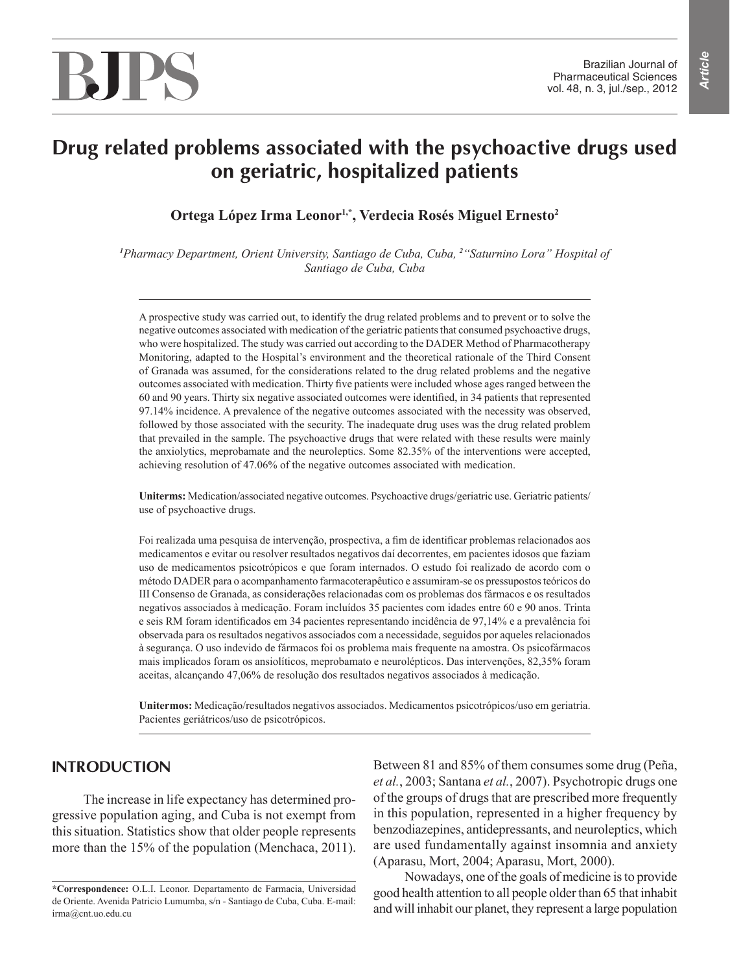# **BJPS**

# **Drug related problems associated with the psychoactive drugs used on geriatric, hospitalized patients**

**Ortega López Irma Leonor1,\*, Verdecia Rosés Miguel Ernesto2**

<sup>1</sup> Pharmacy Department, Orient University, Santiago de Cuba, Cuba, <sup>2</sup> "Saturnino Lora" Hospital of *Santiago de Cuba, Cuba*

A prospective study was carried out, to identify the drug related problems and to prevent or to solve the negative outcomes associated with medication of the geriatric patients that consumed psychoactive drugs, who were hospitalized. The study was carried out according to the DADER Method of Pharmacotherapy Monitoring, adapted to the Hospital's environment and the theoretical rationale of the Third Consent of Granada was assumed, for the considerations related to the drug related problems and the negative outcomes associated with medication. Thirty five patients were included whose ages ranged between the 60 and 90 years. Thirty six negative associated outcomes were identified, in 34 patients that represented 97.14% incidence. A prevalence of the negative outcomes associated with the necessity was observed, followed by those associated with the security. The inadequate drug uses was the drug related problem that prevailed in the sample. The psychoactive drugs that were related with these results were mainly the anxiolytics, meprobamate and the neuroleptics. Some 82.35% of the interventions were accepted, achieving resolution of 47.06% of the negative outcomes associated with medication.

**Uniterms:** Medication/associated negative outcomes. Psychoactive drugs/geriatric use. Geriatric patients/ use of psychoactive drugs.

Foi realizada uma pesquisa de intervenção, prospectiva, a fim de identificar problemas relacionados aos medicamentos e evitar ou resolver resultados negativos daí decorrentes, em pacientes idosos que faziam uso de medicamentos psicotrópicos e que foram internados. O estudo foi realizado de acordo com o método DADER para o acompanhamento farmacoterapêutico e assumiram-se os pressupostos teóricos do III Consenso de Granada, as considerações relacionadas com os problemas dos fármacos e os resultados negativos associados à medicação. Foram incluídos 35 pacientes com idades entre 60 e 90 anos. Trinta e seis RM foram identificados em 34 pacientes representando incidência de 97,14% e a prevalência foi observada para os resultados negativos associados com a necessidade, seguidos por aqueles relacionados à segurança. O uso indevido de fármacos foi os problema mais frequente na amostra. Os psicofármacos mais implicados foram os ansiolíticos, meprobamato e neurolépticos. Das intervenções, 82,35% foram aceitas, alcançando 47,06% de resolução dos resultados negativos associados à medicação.

**Unitermos:** Medicação/resultados negativos associados. Medicamentos psicotrópicos/uso em geriatria. Pacientes geriátricos/uso de psicotrópicos.

# **INTRODUCTION**

The increase in life expectancy has determined progressive population aging, and Cuba is not exempt from this situation. Statistics show that older people represents more than the 15% of the population (Menchaca, 2011).

Between 81 and 85% of them consumes some drug (Peña, *et al.*, 2003; Santana *et al.*, 2007). Psychotropic drugs one of the groups of drugs that are prescribed more frequently in this population, represented in a higher frequency by benzodiazepines, antidepressants, and neuroleptics, which are used fundamentally against insomnia and anxiety (Aparasu, Mort, 2004; Aparasu, Mort, 2000).

Nowadays, one of the goals of medicine is to provide good health attention to all people older than 65 that inhabit and will inhabit our planet, they represent a large population

**<sup>\*</sup>Correspondence:** O.L.I. Leonor. Departamento de Farmacia, Universidad de Oriente. Avenida Patricio Lumumba, s/n - Santiago de Cuba, Cuba. E-mail: irma@cnt.uo.edu.cu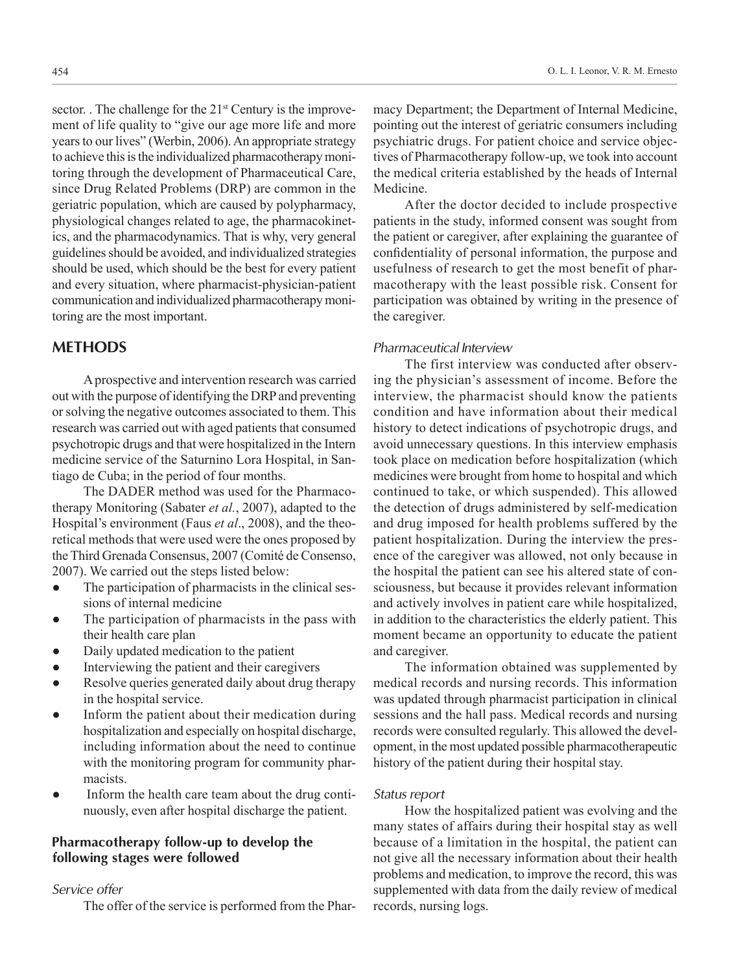sector. . The challenge for the 21<sup>st</sup> Century is the improvement of life quality to "give our age more life and more years to our lives" (Werbin, 2006). An appropriate strategy to achieve this is the individualized pharmacotherapy monitoring through the development of Pharmaceutical Care, since Drug Related Problems (DRP) are common in the geriatric population, which are caused by polypharmacy, physiological changes related to age, the pharmacokinetics, and the pharmacodynamics. That is why, very general guidelines should be avoided, and individualized strategies should be used, which should be the best for every patient and every situation, where pharmacist-physician-patient communication and individualized pharmacotherapy monitoring are the most important.

## **METHODS**

A prospective and intervention research was carried out with the purpose of identifying the DRP and preventing or solving the negative outcomes associated to them. This research was carried out with aged patients that consumed psychotropic drugs and that were hospitalized in the Intern medicine service of the Saturnino Lora Hospital, in Santiago de Cuba; in the period of four months.

The DADER method was used for the Pharmacotherapy Monitoring (Sabater *et al.*, 2007), adapted to the Hospital's environment (Faus *et al*., 2008), and the theoretical methods that were used were the ones proposed by the Third Grenada Consensus, 2007 (Comité de Consenso, 2007). We carried out the steps listed below:

- The participation of pharmacists in the clinical sessions of internal medicine
- The participation of pharmacists in the pass with their health care plan
- Daily updated medication to the patient
- Interviewing the patient and their caregivers
- Resolve queries generated daily about drug therapy in the hospital service.
- Inform the patient about their medication during hospitalization and especially on hospital discharge, including information about the need to continue with the monitoring program for community pharmacists.
- Inform the health care team about the drug continuously, even after hospital discharge the patient.

#### **Pharmacotherapy follow-up to develop the following stages were followed**

#### *Service offer*

The offer of the service is performed from the Phar-

macy Department; the Department of Internal Medicine, pointing out the interest of geriatric consumers including psychiatric drugs. For patient choice and service objectives of Pharmacotherapy follow-up, we took into account the medical criteria established by the heads of Internal Medicine.

After the doctor decided to include prospective patients in the study, informed consent was sought from the patient or caregiver, after explaining the guarantee of confidentiality of personal information, the purpose and usefulness of research to get the most benefit of pharmacotherapy with the least possible risk. Consent for participation was obtained by writing in the presence of the caregiver.

#### *Pharmaceutical Interview*

The first interview was conducted after observing the physician's assessment of income. Before the interview, the pharmacist should know the patients condition and have information about their medical history to detect indications of psychotropic drugs, and avoid unnecessary questions. In this interview emphasis took place on medication before hospitalization (which medicines were brought from home to hospital and which continued to take, or which suspended). This allowed the detection of drugs administered by self-medication and drug imposed for health problems suffered by the patient hospitalization. During the interview the presence of the caregiver was allowed, not only because in the hospital the patient can see his altered state of consciousness, but because it provides relevant information and actively involves in patient care while hospitalized, in addition to the characteristics the elderly patient. This moment became an opportunity to educate the patient and caregiver.

The information obtained was supplemented by medical records and nursing records. This information was updated through pharmacist participation in clinical sessions and the hall pass. Medical records and nursing records were consulted regularly. This allowed the development, in the most updated possible pharmacotherapeutic history of the patient during their hospital stay.

#### *Status report*

How the hospitalized patient was evolving and the many states of affairs during their hospital stay as well because of a limitation in the hospital, the patient can not give all the necessary information about their health problems and medication, to improve the record, this was supplemented with data from the daily review of medical records, nursing logs.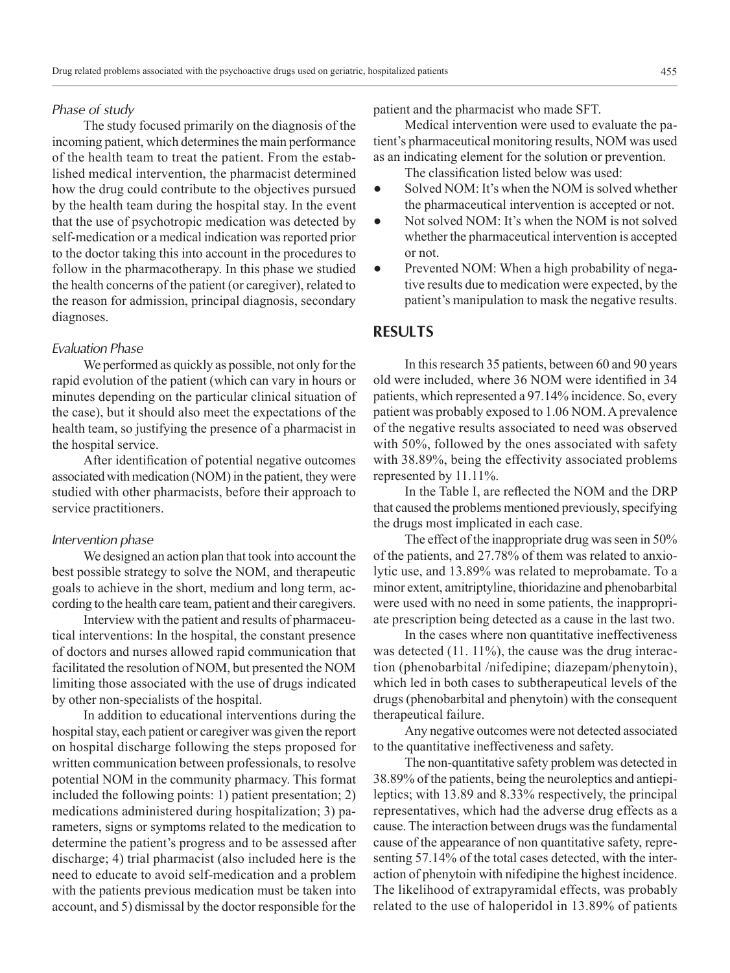#### *Phase of study*

The study focused primarily on the diagnosis of the incoming patient, which determines the main performance of the health team to treat the patient. From the established medical intervention, the pharmacist determined how the drug could contribute to the objectives pursued by the health team during the hospital stay. In the event that the use of psychotropic medication was detected by self-medication or a medical indication was reported prior to the doctor taking this into account in the procedures to follow in the pharmacotherapy. In this phase we studied the health concerns of the patient (or caregiver), related to the reason for admission, principal diagnosis, secondary diagnoses.

#### *Evaluation Phase*

We performed as quickly as possible, not only for the rapid evolution of the patient (which can vary in hours or minutes depending on the particular clinical situation of the case), but it should also meet the expectations of the health team, so justifying the presence of a pharmacist in the hospital service.

After identification of potential negative outcomes associated with medication (NOM) in the patient, they were studied with other pharmacists, before their approach to service practitioners.

#### *Intervention phase*

We designed an action plan that took into account the best possible strategy to solve the NOM, and therapeutic goals to achieve in the short, medium and long term, according to the health care team, patient and their caregivers.

Interview with the patient and results of pharmaceutical interventions: In the hospital, the constant presence of doctors and nurses allowed rapid communication that facilitated the resolution of NOM, but presented the NOM limiting those associated with the use of drugs indicated by other non-specialists of the hospital.

In addition to educational interventions during the hospital stay, each patient or caregiver was given the report on hospital discharge following the steps proposed for written communication between professionals, to resolve potential NOM in the community pharmacy. This format included the following points: 1) patient presentation; 2) medications administered during hospitalization; 3) parameters, signs or symptoms related to the medication to determine the patient's progress and to be assessed after discharge; 4) trial pharmacist (also included here is the need to educate to avoid self-medication and a problem with the patients previous medication must be taken into account, and 5) dismissal by the doctor responsible for the patient and the pharmacist who made SFT.

Medical intervention were used to evaluate the patient's pharmaceutical monitoring results, NOM was used as an indicating element for the solution or prevention.

The classification listed below was used:

- $\bullet$  Solved NOM: It's when the NOM is solved whether the pharmaceutical intervention is accepted or not.
- Not solved NOM: It's when the NOM is not solved whether the pharmaceutical intervention is accepted or not.
- Prevented NOM: When a high probability of negative results due to medication were expected, by the patient's manipulation to mask the negative results.

## **RESULTS**

In this research 35 patients, between 60 and 90 years old were included, where 36 NOM were identified in 34 patients, which represented a 97.14% incidence. So, every patient was probably exposed to 1.06 NOM. A prevalence of the negative results associated to need was observed with 50%, followed by the ones associated with safety with 38.89%, being the effectivity associated problems represented by 11.11%.

In the Table I, are reflected the NOM and the DRP that caused the problems mentioned previously, specifying the drugs most implicated in each case.

The effect of the inappropriate drug was seen in 50% of the patients, and 27.78% of them was related to anxiolytic use, and 13.89% was related to meprobamate. To a minor extent, amitriptyline, thioridazine and phenobarbital were used with no need in some patients, the inappropriate prescription being detected as a cause in the last two.

In the cases where non quantitative ineffectiveness was detected (11. 11%), the cause was the drug interaction (phenobarbital /nifedipine; diazepam/phenytoin), which led in both cases to subtherapeutical levels of the drugs (phenobarbital and phenytoin) with the consequent therapeutical failure.

Any negative outcomes were not detected associated to the quantitative ineffectiveness and safety.

The non-quantitative safety problem was detected in 38.89% of the patients, being the neuroleptics and antiepileptics; with 13.89 and 8.33% respectively, the principal representatives, which had the adverse drug effects as a cause. The interaction between drugs was the fundamental cause of the appearance of non quantitative safety, representing 57.14% of the total cases detected, with the interaction of phenytoin with nifedipine the highest incidence. The likelihood of extrapyramidal effects, was probably related to the use of haloperidol in 13.89% of patients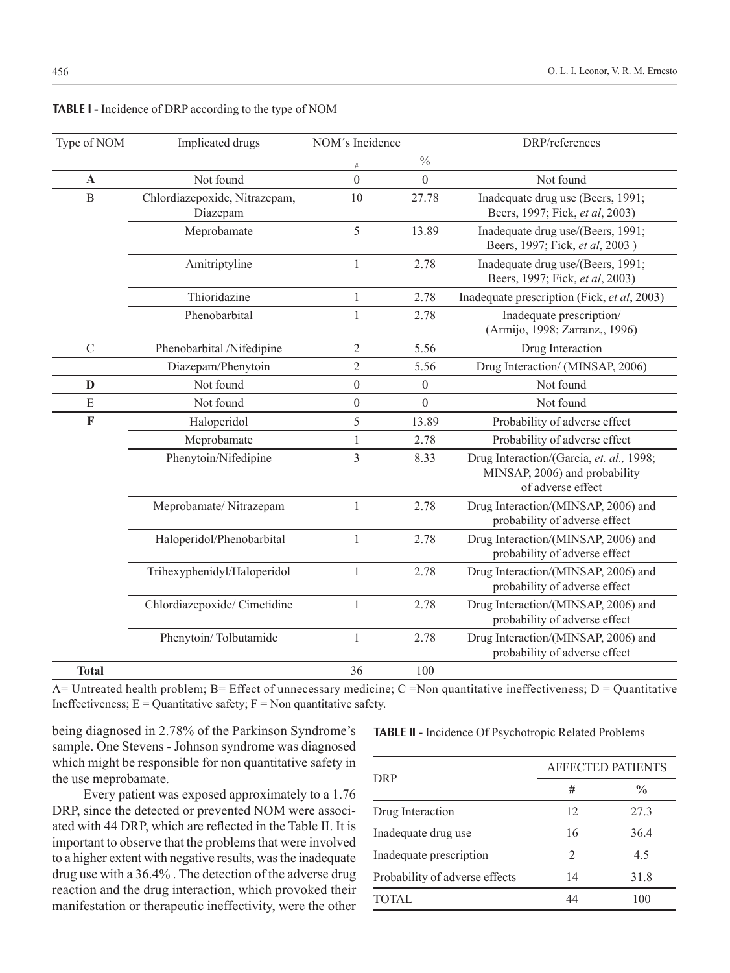| Type of NOM    | Implicated drugs                          | NOM's Incidence  |                  | DRP/references                                                                                 |
|----------------|-------------------------------------------|------------------|------------------|------------------------------------------------------------------------------------------------|
|                |                                           |                  | $\frac{0}{0}$    |                                                                                                |
| $\mathbf A$    | Not found                                 | $\boldsymbol{0}$ | $\boldsymbol{0}$ | Not found                                                                                      |
| $\overline{B}$ | Chlordiazepoxide, Nitrazepam,<br>Diazepam | 10               | 27.78            | Inadequate drug use (Beers, 1991;<br>Beers, 1997; Fick, et al, 2003)                           |
|                | Meprobamate                               | 5                | 13.89            | Inadequate drug use/(Beers, 1991;<br>Beers, 1997; Fick, et al, 2003)                           |
|                | Amitriptyline                             | $\mathbf{1}$     | 2.78             | Inadequate drug use/(Beers, 1991;<br>Beers, 1997; Fick, et al, 2003)                           |
|                | Thioridazine                              | $\mathbf{1}$     | 2.78             | Inadequate prescription (Fick, et al, 2003)                                                    |
|                | Phenobarbital                             | $\mathbf{1}$     | 2.78             | Inadequate prescription/<br>(Armijo, 1998; Zarranz,, 1996)                                     |
| $\mathcal{C}$  | Phenobarbital /Nifedipine                 | $\overline{2}$   | 5.56             | Drug Interaction                                                                               |
|                | Diazepam/Phenytoin                        | $\sqrt{2}$       | 5.56             | Drug Interaction/ (MINSAP, 2006)                                                               |
| $\mathbf{D}$   | Not found                                 | $\boldsymbol{0}$ | $\boldsymbol{0}$ | Not found                                                                                      |
| ${\bf E}$      | Not found                                 | $\boldsymbol{0}$ | $\boldsymbol{0}$ | Not found                                                                                      |
| $\mathbf F$    | Haloperidol                               | 5                | 13.89            | Probability of adverse effect                                                                  |
|                | Meprobamate                               | $\mathbf{1}$     | 2.78             | Probability of adverse effect                                                                  |
|                | Phenytoin/Nifedipine                      | $\overline{3}$   | 8.33             | Drug Interaction/(Garcia, et. al., 1998;<br>MINSAP, 2006) and probability<br>of adverse effect |
|                | Meprobamate/Nitrazepam                    | $\mathbf{1}$     | 2.78             | Drug Interaction/(MINSAP, 2006) and<br>probability of adverse effect                           |
|                | Haloperidol/Phenobarbital                 | $\mathbf{1}$     | 2.78             | Drug Interaction/(MINSAP, 2006) and<br>probability of adverse effect                           |
|                | Trihexyphenidyl/Haloperidol               | $\mathbf{1}$     | 2.78             | Drug Interaction/(MINSAP, 2006) and<br>probability of adverse effect                           |
|                | Chlordiazepoxide/Cimetidine               | $\mathbf{1}$     | 2.78             | Drug Interaction/(MINSAP, 2006) and<br>probability of adverse effect                           |
|                | Phenytoin/Tolbutamide                     | $\mathbf{1}$     | 2.78             | Drug Interaction/(MINSAP, 2006) and<br>probability of adverse effect                           |
| <b>Total</b>   |                                           | 36               | 100              |                                                                                                |

#### **TABLE I -** Incidence of DRP according to the type of NOM

A= Untreated health problem; B= Effect of unnecessary medicine; C =Non quantitative ineffectiveness;  $D =$  Quantitative Ineffectiveness;  $E =$ Quantitative safety;  $F =$ Non quantitative safety.

being diagnosed in 2.78% of the Parkinson Syndrome's sample. One Stevens - Johnson syndrome was diagnosed which might be responsible for non quantitative safety in the use meprobamate.

Every patient was exposed approximately to a 1.76 DRP, since the detected or prevented NOM were associated with 44 DRP, which are reflected in the Table II. It is important to observe that the problems that were involved to a higher extent with negative results, was the inadequate drug use with a 36.4% . The detection of the adverse drug reaction and the drug interaction, which provoked their manifestation or therapeutic ineffectivity, were the other

|                                | <b>AFFECTED PATIENTS</b> |               |  |  |  |
|--------------------------------|--------------------------|---------------|--|--|--|
| DRP                            | #                        | $\frac{0}{0}$ |  |  |  |
| Drug Interaction               | 12                       | 27.3          |  |  |  |
| Inadequate drug use            | 16                       | 36.4          |  |  |  |
| Inadequate prescription        | 2                        | 4.5           |  |  |  |
| Probability of adverse effects | 14                       | 31.8          |  |  |  |
| TOTAL                          |                          | 100           |  |  |  |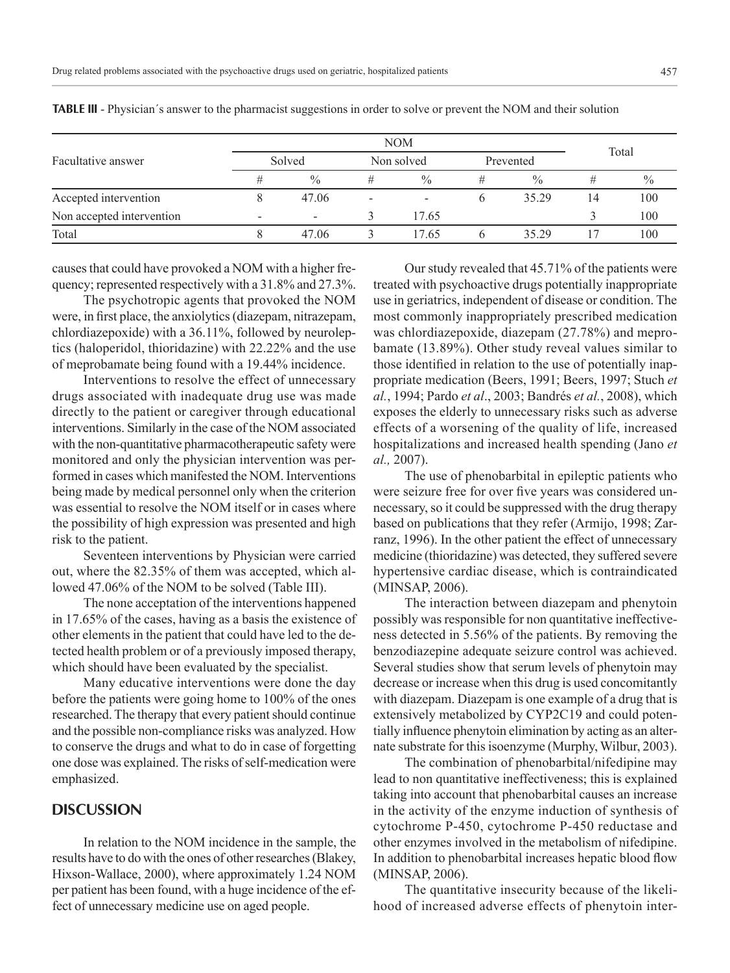|                           |                          | <b>NOM</b>               |            |               |           |               |       |               |  |
|---------------------------|--------------------------|--------------------------|------------|---------------|-----------|---------------|-------|---------------|--|
| Facultative answer        | Solved                   |                          | Non solved |               | Prevented |               | Total |               |  |
|                           | #                        | $\frac{0}{0}$            | #          | $\frac{0}{0}$ |           | $\frac{0}{0}$ | #     | $\frac{0}{0}$ |  |
| Accepted intervention     |                          | 47.06                    |            |               | n         | 35.29         | 14    | 100           |  |
| Non accepted intervention | $\overline{\phantom{0}}$ | $\overline{\phantom{a}}$ |            | 17.65         |           |               |       | 100           |  |
| Total                     |                          | 47.06                    |            | 17.65         |           | 35 29         |       | 100           |  |

**TABLE III** - Physician´s answer to the pharmacist suggestions in order to solve or prevent the NOM and their solution

causes that could have provoked a NOM with a higher frequency; represented respectively with a 31.8% and 27.3%.

The psychotropic agents that provoked the NOM were, in first place, the anxiolytics (diazepam, nitrazepam, chlordiazepoxide) with a 36.11%, followed by neuroleptics (haloperidol, thioridazine) with 22.22% and the use of meprobamate being found with a 19.44% incidence.

Interventions to resolve the effect of unnecessary drugs associated with inadequate drug use was made directly to the patient or caregiver through educational interventions. Similarly in the case of the NOM associated with the non-quantitative pharmacotherapeutic safety were monitored and only the physician intervention was performed in cases which manifested the NOM. Interventions being made by medical personnel only when the criterion was essential to resolve the NOM itself or in cases where the possibility of high expression was presented and high risk to the patient.

Seventeen interventions by Physician were carried out, where the 82.35% of them was accepted, which allowed 47.06% of the NOM to be solved (Table III).

The none acceptation of the interventions happened in 17.65% of the cases, having as a basis the existence of other elements in the patient that could have led to the detected health problem or of a previously imposed therapy, which should have been evaluated by the specialist.

Many educative interventions were done the day before the patients were going home to 100% of the ones researched. The therapy that every patient should continue and the possible non-compliance risks was analyzed. How to conserve the drugs and what to do in case of forgetting one dose was explained. The risks of self-medication were emphasized.

#### **DISCUSSION**

In relation to the NOM incidence in the sample, the results have to do with the ones of other researches (Blakey, Hixson-Wallace, 2000), where approximately 1.24 NOM per patient has been found, with a huge incidence of the effect of unnecessary medicine use on aged people.

Our study revealed that 45.71% of the patients were treated with psychoactive drugs potentially inappropriate use in geriatrics, independent of disease or condition. The most commonly inappropriately prescribed medication was chlordiazepoxide, diazepam (27.78%) and meprobamate (13.89%). Other study reveal values similar to those identified in relation to the use of potentially inappropriate medication (Beers, 1991; Beers, 1997; Stuch *et al.*, 1994; Pardo *et al*., 2003; Bandrés *et al.*, 2008), which exposes the elderly to unnecessary risks such as adverse effects of a worsening of the quality of life, increased hospitalizations and increased health spending (Jano *et al.,* 2007).

The use of phenobarbital in epileptic patients who were seizure free for over five years was considered unnecessary, so it could be suppressed with the drug therapy based on publications that they refer (Armijo, 1998; Zarranz, 1996). In the other patient the effect of unnecessary medicine (thioridazine) was detected, they suffered severe hypertensive cardiac disease, which is contraindicated (MINSAP, 2006).

The interaction between diazepam and phenytoin possibly was responsible for non quantitative ineffectiveness detected in 5.56% of the patients. By removing the benzodiazepine adequate seizure control was achieved. Several studies show that serum levels of phenytoin may decrease or increase when this drug is used concomitantly with diazepam. Diazepam is one example of a drug that is extensively metabolized by CYP2C19 and could potentially influence phenytoin elimination by acting as an alternate substrate for this isoenzyme (Murphy, Wilbur, 2003).

The combination of phenobarbital/nifedipine may lead to non quantitative ineffectiveness; this is explained taking into account that phenobarbital causes an increase in the activity of the enzyme induction of synthesis of cytochrome P-450, cytochrome P-450 reductase and other enzymes involved in the metabolism of nifedipine. In addition to phenobarbital increases hepatic blood flow (MINSAP, 2006).

The quantitative insecurity because of the likelihood of increased adverse effects of phenytoin inter-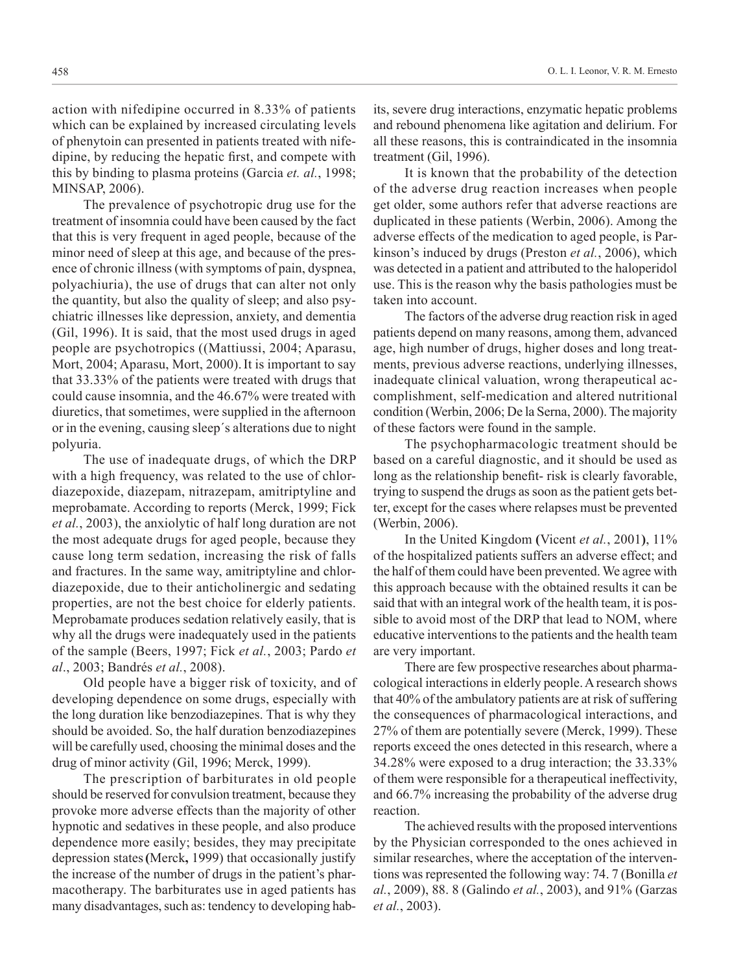action with nifedipine occurred in 8.33% of patients which can be explained by increased circulating levels of phenytoin can presented in patients treated with nifedipine, by reducing the hepatic first, and compete with this by binding to plasma proteins (Garcia *et. al.*, 1998; MINSAP, 2006).

The prevalence of psychotropic drug use for the treatment of insomnia could have been caused by the fact that this is very frequent in aged people, because of the minor need of sleep at this age, and because of the presence of chronic illness (with symptoms of pain, dyspnea, polyachiuria), the use of drugs that can alter not only the quantity, but also the quality of sleep; and also psychiatric illnesses like depression, anxiety, and dementia (Gil, 1996). It is said, that the most used drugs in aged people are psychotropics ((Mattiussi, 2004; Aparasu, Mort, 2004; Aparasu, Mort, 2000). It is important to say that 33.33% of the patients were treated with drugs that could cause insomnia, and the 46.67% were treated with diuretics, that sometimes, were supplied in the afternoon or in the evening, causing sleep´s alterations due to night polyuria.

The use of inadequate drugs, of which the DRP with a high frequency, was related to the use of chlordiazepoxide, diazepam, nitrazepam, amitriptyline and meprobamate. According to reports (Merck, 1999; Fick *et al.*, 2003), the anxiolytic of half long duration are not the most adequate drugs for aged people, because they cause long term sedation, increasing the risk of falls and fractures. In the same way, amitriptyline and chlordiazepoxide, due to their anticholinergic and sedating properties, are not the best choice for elderly patients. Meprobamate produces sedation relatively easily, that is why all the drugs were inadequately used in the patients of the sample (Beers, 1997; Fick *et al.*, 2003; Pardo *et al*., 2003; Bandrés *et al.*, 2008).

Old people have a bigger risk of toxicity, and of developing dependence on some drugs, especially with the long duration like benzodiazepines. That is why they should be avoided. So, the half duration benzodiazepines will be carefully used, choosing the minimal doses and the drug of minor activity (Gil, 1996; Merck, 1999).

The prescription of barbiturates in old people should be reserved for convulsion treatment, because they provoke more adverse effects than the majority of other hypnotic and sedatives in these people, and also produce dependence more easily; besides, they may precipitate depression states**(**Merck**,** 1999) that occasionally justify the increase of the number of drugs in the patient's pharmacotherapy. The barbiturates use in aged patients has many disadvantages, such as: tendency to developing habits, severe drug interactions, enzymatic hepatic problems and rebound phenomena like agitation and delirium. For all these reasons, this is contraindicated in the insomnia treatment (Gil, 1996).

It is known that the probability of the detection of the adverse drug reaction increases when people get older, some authors refer that adverse reactions are duplicated in these patients (Werbin, 2006). Among the adverse effects of the medication to aged people, is Parkinson's induced by drugs (Preston *et al.*, 2006), which was detected in a patient and attributed to the haloperidol use. This is the reason why the basis pathologies must be taken into account.

The factors of the adverse drug reaction risk in aged patients depend on many reasons, among them, advanced age, high number of drugs, higher doses and long treatments, previous adverse reactions, underlying illnesses, inadequate clinical valuation, wrong therapeutical accomplishment, self-medication and altered nutritional condition (Werbin, 2006; De la Serna, 2000). The majority of these factors were found in the sample.

The psychopharmacologic treatment should be based on a careful diagnostic, and it should be used as long as the relationship benefit- risk is clearly favorable, trying to suspend the drugs as soon as the patient gets better, except for the cases where relapses must be prevented (Werbin, 2006).

In the United Kingdom **(**Vicent *et al.*, 2001**)**, 11% of the hospitalized patients suffers an adverse effect; and the half of them could have been prevented. We agree with this approach because with the obtained results it can be said that with an integral work of the health team, it is possible to avoid most of the DRP that lead to NOM, where educative interventions to the patients and the health team are very important.

There are few prospective researches about pharmacological interactions in elderly people. A research shows that 40% of the ambulatory patients are at risk of suffering the consequences of pharmacological interactions, and 27% of them are potentially severe (Merck, 1999). These reports exceed the ones detected in this research, where a 34.28% were exposed to a drug interaction; the 33.33% of them were responsible for a therapeutical ineffectivity, and 66.7% increasing the probability of the adverse drug reaction.

The achieved results with the proposed interventions by the Physician corresponded to the ones achieved in similar researches, where the acceptation of the interventions was represented the following way: 74. 7 (Bonilla *et al.*, 2009), 88. 8 (Galindo *et al.*, 2003), and 91% (Garzas *et al.*, 2003).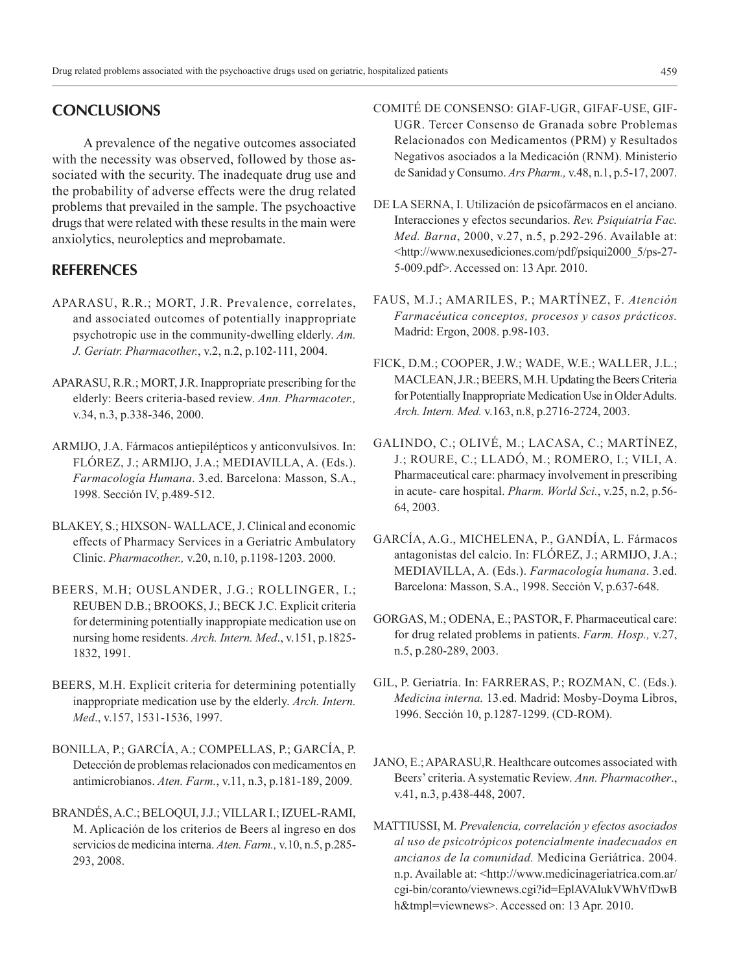# **CONCLUSIONS**

A prevalence of the negative outcomes associated with the necessity was observed, followed by those associated with the security. The inadequate drug use and the probability of adverse effects were the drug related problems that prevailed in the sample. The psychoactive drugs that were related with these results in the main were anxiolytics, neuroleptics and meprobamate.

# **REFERENCES**

- APARASU, R.R.; MORT, J.R. Prevalence, correlates, and associated outcomes of potentially inappropriate psychotropic use in the community-dwelling elderly. *Am. J. Geriatr. Pharmacother.*, v.2, n.2, p.102-111, 2004.
- APARASU, R.R.; MORT, J.R. Inappropriate prescribing for the elderly: Beers criteria-based review. *Ann. Pharmacoter.,* v.34, n.3, p.338-346, 2000.
- ARMIJO, J.A. Fármacos antiepilépticos y anticonvulsivos. In: FLÓREZ, J.; ARMIJO, J.A.; MEDIAVILLA, A. (Eds.). *Farmacología Humana*. 3.ed. Barcelona: Masson, S.A., 1998. Sección IV, p.489-512.
- BLAKEY, S.; HIXSON- WALLACE, J. Clinical and economic effects of Pharmacy Services in a Geriatric Ambulatory Clinic. *Pharmacother.,* v.20, n.10, p.1198-1203. 2000.
- BEERS, M.H; OUSLANDER, J.G.; ROLLINGER, I.; REUBEN D.B.; BROOKS, J.; BECK J.C. Explicit criteria for determining potentially inappropiate medication use on nursing home residents. *Arch. Intern. Med*., v.151, p.1825- 1832, 1991.
- BEERS, M.H. Explicit criteria for determining potentially inappropriate medication use by the elderly. *Arch. Intern. Med*., v.157, 1531-1536, 1997.
- BONILLA, P.; GARCÍA, A.; COMPELLAS, P.; GARCÍA, P. Detección de problemas relacionados con medicamentos en antimicrobianos. *Aten. Farm.*, v.11, n.3, p.181-189, 2009.
- BRANDÉS, A.C.; BELOQUI, J.J.; VILLAR I.; IZUEL-RAMI, M. Aplicación de los criterios de Beers al ingreso en dos servicios de medicina interna. *Aten. Farm.,* v.10, n.5, p.285- 293, 2008.
- COMITÉ DE CONSENSO: GIAF-UGR, GIFAF-USE, GIF-UGR. Tercer Consenso de Granada sobre Problemas Relacionados con Medicamentos (PRM) y Resultados Negativos asociados a la Medicación (RNM). Ministerio de Sanidad y Consumo. *Ars Pharm.,* v.48, n.1, p.5-17, 2007.
- DE LA SERNA, I. Utilización de psicofármacos en el anciano. Interacciones y efectos secundarios. *Rev. Psiquiatría Fac. Med. Barna*, 2000, v.27, n.5, p.292-296. Available at: <http://www.nexusediciones.com/pdf/psiqui2000\_5/ps-27- 5-009.pdf>. Accessed on: 13 Apr. 2010.
- FAUS, M.J.; AMARILES, P.; MARTÍNEZ, F. *Atención Farmacéutica conceptos, procesos y casos prácticos.* Madrid: Ergon, 2008. p.98-103.
- FICK, D.M.; COOPER, J.W.; WADE, W.E.; WALLER, J.L.; MACLEAN, J.R.; BEERS, M.H. Updating the Beers Criteria for Potentially Inappropriate Medication Use in Older Adults. *Arch. Intern. Med.* v.163, n.8, p.2716-2724, 2003.
- GALINDO, C.; OLIVÉ, M.; LACASA, C.; MARTÍNEZ, J.; ROURE, C.; LLADÓ, M.; ROMERO, I.; VILI, A. Pharmaceutical care: pharmacy involvement in prescribing in acute- care hospital. *Pharm. World Sci.*, v.25, n.2, p.56- 64, 2003.
- GARCÍA, A.G., MICHELENA, P., GANDÍA, L. Fármacos antagonistas del calcio. In: FLÓREZ, J.; ARMIJO, J.A.; MEDIAVILLA, A. (Eds.). *Farmacología humana*. 3.ed. Barcelona: Masson, S.A., 1998. Sección V, p.637-648.
- GORGAS, M.; ODENA, E.; PASTOR, F. Pharmaceutical care: for drug related problems in patients. *Farm. Hosp.,* v.27, n.5, p.280-289, 2003.
- GIL, P. Geriatría. In: FARRERAS, P.; ROZMAN, C. (Eds.). *Medicina interna.* 13.ed. Madrid: Mosby-Doyma Libros, 1996. Sección 10, p.1287-1299. (CD-ROM).
- JANO, E.; APARASU,R. Healthcare outcomes associated with Beer*s*' criteria. A systematic Review. *Ann. Pharmacother*., v.41, n.3, p.438-448, 2007.
- MATTIUSSI, M. *Prevalencia, correlación y efectos asociados al uso de psicotrópicos potencialmente inadecuados en ancianos de la comunidad.* Medicina Geriátrica. 2004. n.p. Available at: <http://www.medicinageriatrica.com.ar/ cgi-bin/coranto/viewnews.cgi?id=EplAVAlukVWhVfDwB h&tmpl=viewnews>. Accessed on: 13 Apr. 2010.